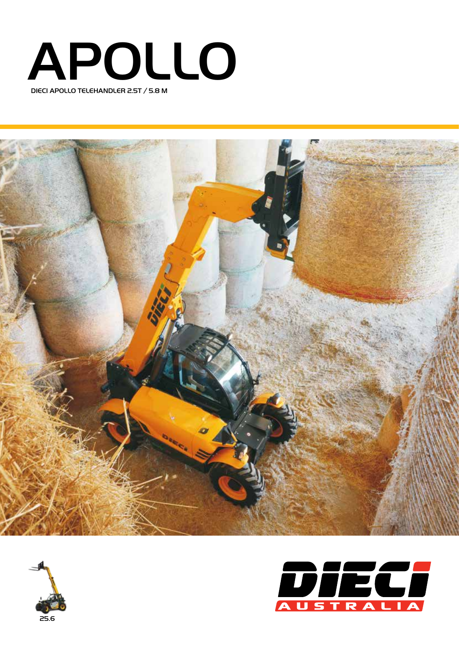





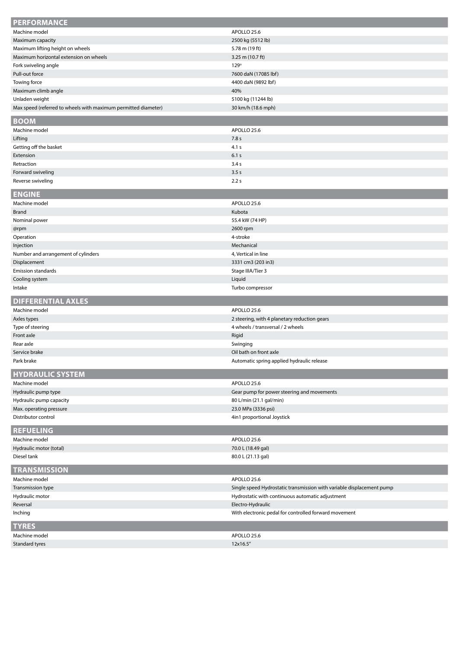| <b>PERFORMANCE</b>                                             |                                                                       |
|----------------------------------------------------------------|-----------------------------------------------------------------------|
| Machine model                                                  | APOLLO 25.6                                                           |
| Maximum capacity                                               | 2500 kg (5512 lb)                                                     |
| Maximum lifting height on wheels                               | 5.78 m (19 ft)                                                        |
| Maximum horizontal extension on wheels                         | 3.25 m $(10.7 \text{ ft})$                                            |
| Fork swiveling angle                                           | 129°                                                                  |
| Pull-out force                                                 | 7600 daN (17085 lbf)                                                  |
| Towing force                                                   | 4400 daN (9892 lbf)                                                   |
| Maximum climb angle                                            | 40%                                                                   |
| Unladen weight                                                 | 5100 kg (11244 lb)                                                    |
| Max speed (referred to wheels with maximum permitted diameter) | 30 km/h (18.6 mph)                                                    |
| <b>BOOM</b>                                                    |                                                                       |
| Machine model                                                  | APOLLO 25.6                                                           |
|                                                                |                                                                       |
| Lifting                                                        | 7.8 s                                                                 |
| Getting off the basket                                         | 4.1 s                                                                 |
| Extension                                                      | 6.1s                                                                  |
| Retraction                                                     | 3.4 s                                                                 |
| Forward swiveling                                              | 3.5s                                                                  |
| Reverse swiveling                                              | 2.2s                                                                  |
| <b>ENGINE</b>                                                  |                                                                       |
| Machine model                                                  | APOLLO 25.6                                                           |
| <b>Brand</b>                                                   | Kubota                                                                |
| Nominal power                                                  | 55.4 kW (74 HP)                                                       |
| @rpm                                                           | 2600 rpm                                                              |
| Operation                                                      | 4-stroke                                                              |
| Injection                                                      | Mechanical                                                            |
| Number and arrangement of cylinders                            | 4, Vertical in line                                                   |
| Displacement                                                   | 3331 cm3 (203 in3)                                                    |
| <b>Emission standards</b>                                      | Stage IIIA/Tier 3                                                     |
| Cooling system                                                 | Liquid                                                                |
|                                                                |                                                                       |
| Intake                                                         | Turbo compressor                                                      |
|                                                                |                                                                       |
| <b>DIFFERENTIAL AXLES</b>                                      |                                                                       |
| Machine model                                                  | APOLLO 25.6                                                           |
| Axles types                                                    | 2 steering, with 4 planetary reduction gears                          |
| Type of steering                                               | 4 wheels / transversal / 2 wheels                                     |
| Front axle                                                     | Rigid                                                                 |
| Rear axle                                                      | Swinging                                                              |
| Service brake<br>Park brake                                    | Oil bath on front axle<br>Automatic spring applied hydraulic release  |
|                                                                |                                                                       |
| <b>HYDRAULIC SYSTEM</b>                                        |                                                                       |
| Machine model                                                  | APOLLO 25.6                                                           |
| Hydraulic pump type                                            | Gear pump for power steering and movements                            |
| Hydraulic pump capacity                                        | 80 L/min (21.1 gal/min)                                               |
| Max. operating pressure                                        | 23.0 MPa (3336 psi)                                                   |
| Distributor control                                            | 4in1 proportional Joystick                                            |
| <b>REFUELING</b>                                               |                                                                       |
| Machine model                                                  | APOLLO 25.6                                                           |
| Hydraulic motor (total)                                        | 70.0 L (18.49 gal)                                                    |
| Diesel tank                                                    | 80.0 L (21.13 gal)                                                    |
|                                                                |                                                                       |
| <b>TRANSMISSION</b>                                            |                                                                       |
| Machine model                                                  | APOLLO 25.6                                                           |
| Transmission type                                              | Single speed Hydrostatic transmission with variable displacement pump |
| Hydraulic motor                                                | Hydrostatic with continuous automatic adjustment                      |
| Reversal                                                       | Electro-Hydraulic                                                     |
| Inching                                                        | With electronic pedal for controlled forward movement                 |
| <b>TYRES</b>                                                   |                                                                       |
| Machine model                                                  | APOLLO 25.6                                                           |
| Standard tyres                                                 | 12x16.5"                                                              |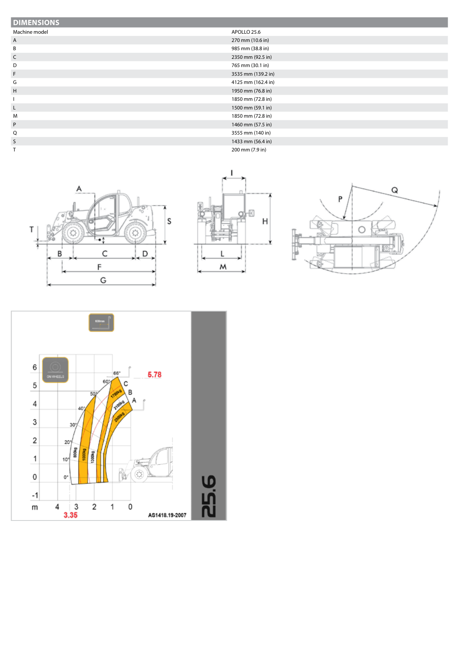| <b>DIMENSIONS</b> |                    |
|-------------------|--------------------|
| Machine model     | APOLLO 25.6        |
| $\mathsf{A}$      | 270 mm (10.6 in)   |
| B                 | 985 mm (38.8 in)   |
| $\mathsf{C}$      | 2350 mm (92.5 in)  |
| D                 | 765 mm (30.1 in)   |
| F                 | 3535 mm (139.2 in) |
| G                 | 4125 mm (162.4 in) |
| H                 | 1950 mm (76.8 in)  |
|                   | 1850 mm (72.8 in)  |
| $\mathsf{L}$      | 1500 mm (59.1 in)  |
| M                 | 1850 mm (72.8 in)  |
| P                 | 1460 mm (57.5 in)  |
| Q                 | 3555 mm (140 in)   |
| S                 | 1433 mm (56.4 in)  |
|                   | 200 mm (7.9 in)    |